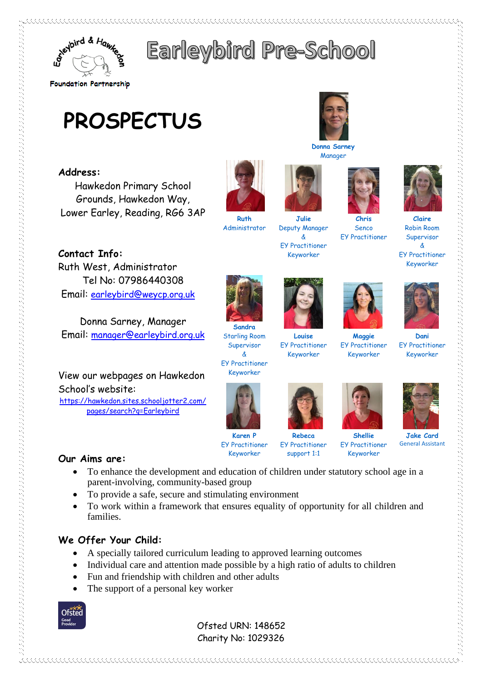

# Earleybird Pre-School

# **PROSPECTUS**

# **Address:**

Hawkedon Primary School Grounds, Hawkedon Way, Lower Earley, Reading, RG6 3AP

**Contact Info:** Ruth West, Administrator Tel No: 07986440308 Email: [earleybird@weycp.org.uk](mailto:earleybird@weycp.org.uk)

Donna Sarney, Manager Email: [manager@earleybird.org.uk](mailto:manager@earleybird.org.uk)

View our webpages on Hawkedon School's website:

[https://hawkedon.sites.schooljotter2.com/](https://hawkedon.sites.schooljotter2.com/pages/search?q=Earleybird) [pages/search?q=Earleybird](https://hawkedon.sites.schooljotter2.com/pages/search?q=Earleybird)



**Ruth** Administrator

**Sandra** Starling Room Supervisor & EY Practitioner Keyworker

**Julie** Deputy Manager & EY Practitioner Keyworker

**Donna Sarney** Manager



**Louise**

EY Practitioner Keyworker

**Maggie** EY Practitioner Keyworker

**Chris** Senco EY Practitioner



**Jake Card** General Assistant

• To enhance the development and education of children under statutory school age in a parent-involving, community-based group

**Karen P** EY Practitioner Keyworker

- To provide a safe, secure and stimulating environment
- To work within a framework that ensures equality of opportunity for all children and families.

# **We Offer Your Child:**

**Our Aims are:**

- A specially tailored curriculum leading to approved learning outcomes
- Individual care and attention made possible by a high ratio of adults to children
- Fun and friendship with children and other adults
- The support of a personal key worker

**Ofsted** 

 Ofsted URN: 148652 Charity No: 1029326



Robin Room Supervisor & EY Practitioner Keyworker











**Rebeca** EY Practitioner support 1:1

EY Practitioner Keyworker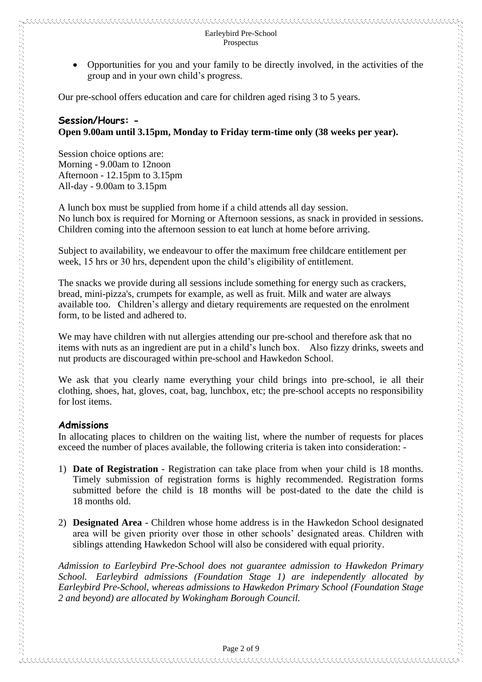• Opportunities for you and your family to be directly involved, in the activities of the group and in your own child's progress.

Our pre-school offers education and care for children aged rising 3 to 5 years.

#### **Session/Hours: - Open 9.00am until 3.15pm, Monday to Friday term-time only (38 weeks per year).**

Session choice options are: Morning - 9.00am to 12noon Afternoon - 12.15pm to 3.15pm All-day - 9.00am to 3.15pm

A lunch box must be supplied from home if a child attends all day session. No lunch box is required for Morning or Afternoon sessions, as snack in provided in sessions. Children coming into the afternoon session to eat lunch at home before arriving.

Subject to availability, we endeavour to offer the maximum free childcare entitlement per week, 15 hrs or 30 hrs, dependent upon the child's eligibility of entitlement.

The snacks we provide during all sessions include something for energy such as crackers, bread, mini-pizza's, crumpets for example, as well as fruit. Milk and water are always available too. Children's allergy and dietary requirements are requested on the enrolment form, to be listed and adhered to.

We may have children with nut allergies attending our pre-school and therefore ask that no items with nuts as an ingredient are put in a child's lunch box. Also fizzy drinks, sweets and nut products are discouraged within pre-school and Hawkedon School.

We ask that you clearly name everything your child brings into pre-school, ie all their clothing, shoes, hat, gloves, coat, bag, lunchbox, etc; the pre-school accepts no responsibility for lost items.

#### **Admissions**

In allocating places to children on the waiting list, where the number of requests for places exceed the number of places available, the following criteria is taken into consideration: -

- 1) **Date of Registration** Registration can take place from when your child is 18 months. Timely submission of registration forms is highly recommended. Registration forms submitted before the child is 18 months will be post-dated to the date the child is 18 months old.
- 2) **Designated Area** Children whose home address is in the Hawkedon School designated area will be given priority over those in other schools' designated areas. Children with siblings attending Hawkedon School will also be considered with equal priority.

*Admission to Earleybird Pre-School does not guarantee admission to Hawkedon Primary School. Earleybird admissions (Foundation Stage 1) are independently allocated by Earleybird Pre-School, whereas admissions to Hawkedon Primary School (Foundation Stage 2 and beyond) are allocated by Wokingham Borough Council.*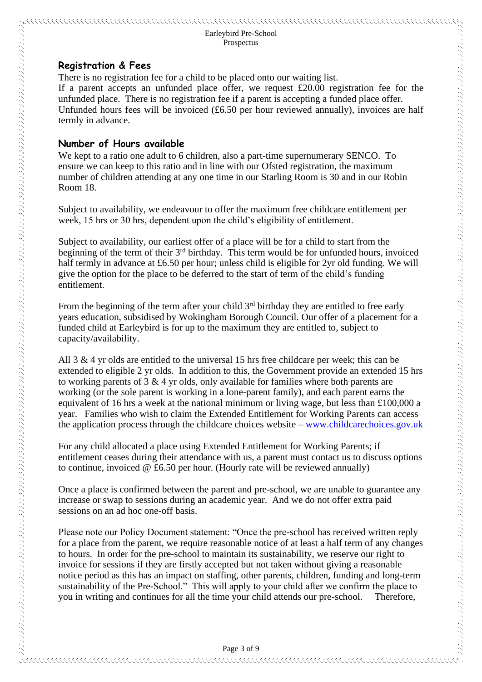#### **Registration & Fees**

There is no registration fee for a child to be placed onto our waiting list. If a parent accepts an unfunded place offer, we request £20.00 registration fee for the unfunded place. There is no registration fee if a parent is accepting a funded place offer. Unfunded hours fees will be invoiced (£6.50 per hour reviewed annually), invoices are half termly in advance.

### **Number of Hours available**

We kept to a ratio one adult to 6 children, also a part-time supernumerary SENCO. To ensure we can keep to this ratio and in line with our Ofsted registration, the maximum number of children attending at any one time in our Starling Room is 30 and in our Robin Room 18.

Subject to availability, we endeavour to offer the maximum free childcare entitlement per week, 15 hrs or 30 hrs, dependent upon the child's eligibility of entitlement.

Subject to availability, our earliest offer of a place will be for a child to start from the beginning of the term of their 3rd birthday. This term would be for unfunded hours, invoiced half termly in advance at £6.50 per hour; unless child is eligible for 2yr old funding. We will give the option for the place to be deferred to the start of term of the child's funding entitlement.

From the beginning of the term after your child 3<sup>rd</sup> birthday they are entitled to free early years education, subsidised by Wokingham Borough Council. Our offer of a placement for a funded child at Earleybird is for up to the maximum they are entitled to, subject to capacity/availability.

All 3  $\&$  4 yr olds are entitled to the universal 15 hrs free childcare per week; this can be extended to eligible 2 yr olds. In addition to this, the Government provide an extended 15 hrs to working parents of 3 & 4 yr olds, only available for families where both parents are working (or the sole parent is working in a lone-parent family), and each parent earns the equivalent of 16 hrs a week at the national minimum or living wage, but less than £100,000 a year. Families who wish to claim the Extended Entitlement for Working Parents can access the application process through the childcare choices website – [www.childcarechoices.gov.uk](http://www.childcarechoices.gov.uk/) 

For any child allocated a place using Extended Entitlement for Working Parents; if entitlement ceases during their attendance with us, a parent must contact us to discuss options to continue, invoiced  $\mathcal Q$  £6.50 per hour. (Hourly rate will be reviewed annually)

Once a place is confirmed between the parent and pre-school, we are unable to guarantee any increase or swap to sessions during an academic year. And we do not offer extra paid sessions on an ad hoc one-off basis.

Please note our Policy Document statement: "Once the pre-school has received written reply for a place from the parent, we require reasonable notice of at least a half term of any changes to hours. In order for the pre-school to maintain its sustainability, we reserve our right to invoice for sessions if they are firstly accepted but not taken without giving a reasonable notice period as this has an impact on staffing, other parents, children, funding and long-term sustainability of the Pre-School." This will apply to your child after we confirm the place to you in writing and continues for all the time your child attends our pre-school. Therefore,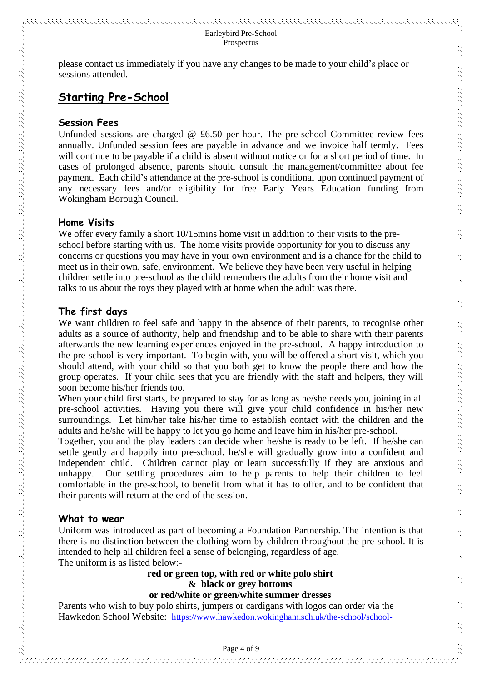please contact us immediately if you have any changes to be made to your child's place or sessions attended.

# **Starting Pre-School**

#### **Session Fees**

Unfunded sessions are charged  $@$  £6.50 per hour. The pre-school Committee review fees annually. Unfunded session fees are payable in advance and we invoice half termly. Fees will continue to be payable if a child is absent without notice or for a short period of time. In cases of prolonged absence, parents should consult the management/committee about fee payment. Each child's attendance at the pre-school is conditional upon continued payment of any necessary fees and/or eligibility for free Early Years Education funding from Wokingham Borough Council.

#### **Home Visits**

We offer every family a short  $10/15$ mins home visit in addition to their visits to the preschool before starting with us. The home visits provide opportunity for you to discuss any concerns or questions you may have in your own environment and is a chance for the child to meet us in their own, safe, environment. We believe they have been very useful in helping children settle into pre-school as the child remembers the adults from their home visit and talks to us about the toys they played with at home when the adult was there.

#### **The first days**

We want children to feel safe and happy in the absence of their parents, to recognise other adults as a source of authority, help and friendship and to be able to share with their parents afterwards the new learning experiences enjoyed in the pre-school. A happy introduction to the pre-school is very important. To begin with, you will be offered a short visit, which you should attend, with your child so that you both get to know the people there and how the group operates. If your child sees that you are friendly with the staff and helpers, they will soon become his/her friends too.

When your child first starts, be prepared to stay for as long as he/she needs you, joining in all pre-school activities. Having you there will give your child confidence in his/her new surroundings. Let him/her take his/her time to establish contact with the children and the adults and he/she will be happy to let you go home and leave him in his/her pre-school.

Together, you and the play leaders can decide when he/she is ready to be left. If he/she can settle gently and happily into pre-school, he/she will gradually grow into a confident and independent child. Children cannot play or learn successfully if they are anxious and unhappy. Our settling procedures aim to help parents to help their children to feel comfortable in the pre-school, to benefit from what it has to offer, and to be confident that their parents will return at the end of the session.

#### **What to wear**

Uniform was introduced as part of becoming a Foundation Partnership. The intention is that there is no distinction between the clothing worn by children throughout the pre-school. It is intended to help all children feel a sense of belonging, regardless of age. The uniform is as listed below:-

### **red or green top, with red or white polo shirt & black or grey bottoms**

#### **or red/white or green/white summer dresses**

Parents who wish to buy polo shirts, jumpers or cardigans with logos can order via the Hawkedon School Website: [https://www.hawkedon.wokingham.sch.uk/the-school/school-](https://www.hawkedon.wokingham.sch.uk/the-school/school-life/uniform)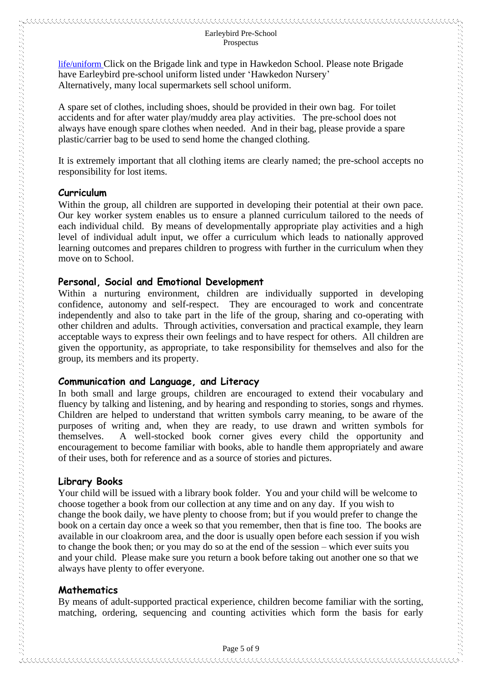#### Earleybird Pre-School Prospectus

[life/uniform](https://www.hawkedon.wokingham.sch.uk/the-school/school-life/uniform) Click on the Brigade link and type in Hawkedon School. Please note Brigade have Earleybird pre-school uniform listed under 'Hawkedon Nursery' Alternatively, many local supermarkets sell school uniform.

A spare set of clothes, including shoes, should be provided in their own bag. For toilet accidents and for after water play/muddy area play activities. The pre-school does not always have enough spare clothes when needed. And in their bag, please provide a spare plastic/carrier bag to be used to send home the changed clothing.

It is extremely important that all clothing items are clearly named; the pre-school accepts no responsibility for lost items.

#### **Curriculum**

Within the group, all children are supported in developing their potential at their own pace. Our key worker system enables us to ensure a planned curriculum tailored to the needs of each individual child. By means of developmentally appropriate play activities and a high level of individual adult input, we offer a curriculum which leads to nationally approved learning outcomes and prepares children to progress with further in the curriculum when they move on to School.

#### **Personal, Social and Emotional Development**

Within a nurturing environment, children are individually supported in developing confidence, autonomy and self-respect. They are encouraged to work and concentrate independently and also to take part in the life of the group, sharing and co-operating with other children and adults. Through activities, conversation and practical example, they learn acceptable ways to express their own feelings and to have respect for others. All children are given the opportunity, as appropriate, to take responsibility for themselves and also for the group, its members and its property.

#### **Communication and Language, and Literacy**

In both small and large groups, children are encouraged to extend their vocabulary and fluency by talking and listening, and by hearing and responding to stories, songs and rhymes. Children are helped to understand that written symbols carry meaning, to be aware of the purposes of writing and, when they are ready, to use drawn and written symbols for themselves. A well-stocked book corner gives every child the opportunity and encouragement to become familiar with books, able to handle them appropriately and aware of their uses, both for reference and as a source of stories and pictures.

#### **Library Books**

Your child will be issued with a library book folder. You and your child will be welcome to choose together a book from our collection at any time and on any day. If you wish to change the book daily, we have plenty to choose from; but if you would prefer to change the book on a certain day once a week so that you remember, then that is fine too. The books are available in our cloakroom area, and the door is usually open before each session if you wish to change the book then; or you may do so at the end of the session – which ever suits you and your child. Please make sure you return a book before taking out another one so that we always have plenty to offer everyone.

#### **Mathematics**

By means of adult-supported practical experience, children become familiar with the sorting, matching, ordering, sequencing and counting activities which form the basis for early

 $\sim$  and the construction of the construction of the construction of the construction of the construction of the construction of the construction of the construction of the construction of the construction of the construc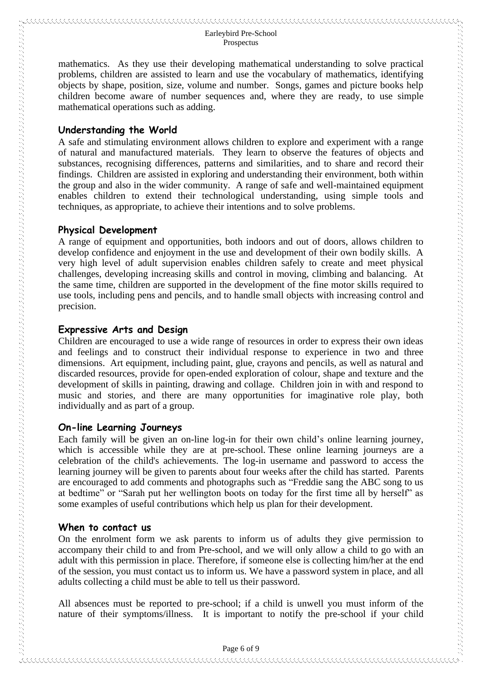#### Earleybird Pre-School Prospectus

mathematics. As they use their developing mathematical understanding to solve practical problems, children are assisted to learn and use the vocabulary of mathematics, identifying objects by shape, position, size, volume and number. Songs, games and picture books help children become aware of number sequences and, where they are ready, to use simple mathematical operations such as adding.

#### **Understanding the World**

A safe and stimulating environment allows children to explore and experiment with a range of natural and manufactured materials. They learn to observe the features of objects and substances, recognising differences, patterns and similarities, and to share and record their findings. Children are assisted in exploring and understanding their environment, both within the group and also in the wider community. A range of safe and well-maintained equipment enables children to extend their technological understanding, using simple tools and techniques, as appropriate, to achieve their intentions and to solve problems.

#### **Physical Development**

A range of equipment and opportunities, both indoors and out of doors, allows children to develop confidence and enjoyment in the use and development of their own bodily skills. A very high level of adult supervision enables children safely to create and meet physical challenges, developing increasing skills and control in moving, climbing and balancing. At the same time, children are supported in the development of the fine motor skills required to use tools, including pens and pencils, and to handle small objects with increasing control and precision.

#### **Expressive Arts and Design**

Children are encouraged to use a wide range of resources in order to express their own ideas and feelings and to construct their individual response to experience in two and three dimensions. Art equipment, including paint, glue, crayons and pencils, as well as natural and discarded resources, provide for open-ended exploration of colour, shape and texture and the development of skills in painting, drawing and collage. Children join in with and respond to music and stories, and there are many opportunities for imaginative role play, both individually and as part of a group.

#### **On-line Learning Journeys**

Each family will be given an on-line log-in for their own child's online learning journey, which is accessible while they are at pre-school. These online learning journeys are a celebration of the child's achievements. The log-in username and password to access the learning journey will be given to parents about four weeks after the child has started. Parents are encouraged to add comments and photographs such as "Freddie sang the ABC song to us at bedtime" or "Sarah put her wellington boots on today for the first time all by herself" as some examples of useful contributions which help us plan for their development.

#### **When to contact us**

On the enrolment form we ask parents to inform us of adults they give permission to accompany their child to and from Pre-school, and we will only allow a child to go with an adult with this permission in place. Therefore, if someone else is collecting him/her at the end of the session, you must contact us to inform us. We have a password system in place, and all adults collecting a child must be able to tell us their password.

All absences must be reported to pre-school; if a child is unwell you must inform of the nature of their symptoms/illness. It is important to notify the pre-school if your child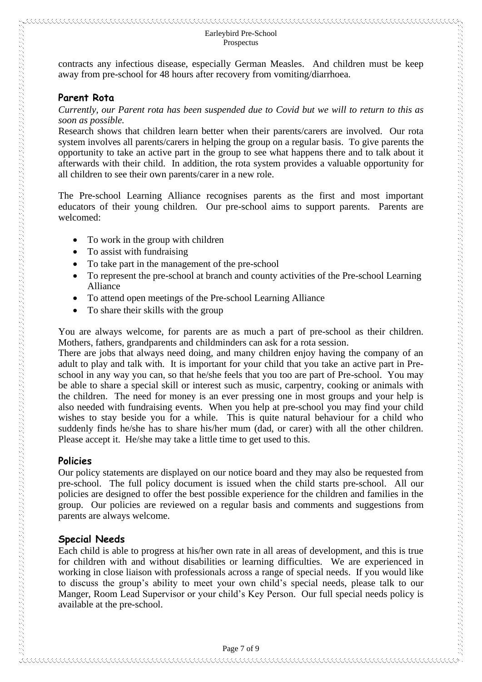contracts any infectious disease, especially German Measles. And children must be keep away from pre-school for 48 hours after recovery from vomiting/diarrhoea.

#### **Parent Rota**

*Currently, our Parent rota has been suspended due to Covid but we will to return to this as soon as possible.*

Research shows that children learn better when their parents/carers are involved. Our rota system involves all parents/carers in helping the group on a regular basis. To give parents the opportunity to take an active part in the group to see what happens there and to talk about it afterwards with their child. In addition, the rota system provides a valuable opportunity for all children to see their own parents/carer in a new role.

The Pre-school Learning Alliance recognises parents as the first and most important educators of their young children. Our pre-school aims to support parents. Parents are welcomed:

- To work in the group with children
- To assist with fundraising
- To take part in the management of the pre-school
- To represent the pre-school at branch and county activities of the Pre-school Learning Alliance
- To attend open meetings of the Pre-school Learning Alliance
- To share their skills with the group

You are always welcome, for parents are as much a part of pre-school as their children. Mothers, fathers, grandparents and childminders can ask for a rota session.

There are jobs that always need doing, and many children enjoy having the company of an adult to play and talk with. It is important for your child that you take an active part in Preschool in any way you can, so that he/she feels that you too are part of Pre-school. You may be able to share a special skill or interest such as music, carpentry, cooking or animals with the children. The need for money is an ever pressing one in most groups and your help is also needed with fundraising events. When you help at pre-school you may find your child wishes to stay beside you for a while. This is quite natural behaviour for a child who suddenly finds he/she has to share his/her mum (dad, or carer) with all the other children. Please accept it. He/she may take a little time to get used to this.

#### **Policies**

Our policy statements are displayed on our notice board and they may also be requested from pre-school. The full policy document is issued when the child starts pre-school. All our policies are designed to offer the best possible experience for the children and families in the group. Our policies are reviewed on a regular basis and comments and suggestions from parents are always welcome.

#### **Special Needs**

Each child is able to progress at his/her own rate in all areas of development, and this is true for children with and without disabilities or learning difficulties. We are experienced in working in close liaison with professionals across a range of special needs. If you would like to discuss the group's ability to meet your own child's special needs, please talk to our Manger, Room Lead Supervisor or your child's Key Person. Our full special needs policy is available at the pre-school.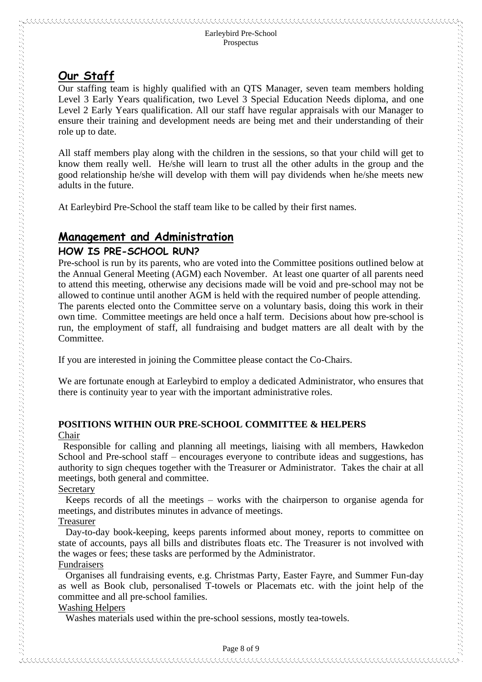# **Our Staff**

Our staffing team is highly qualified with an QTS Manager, seven team members holding Level 3 Early Years qualification, two Level 3 Special Education Needs diploma, and one Level 2 Early Years qualification. All our staff have regular appraisals with our Manager to ensure their training and development needs are being met and their understanding of their role up to date.

All staff members play along with the children in the sessions, so that your child will get to know them really well. He/she will learn to trust all the other adults in the group and the good relationship he/she will develop with them will pay dividends when he/she meets new adults in the future.

At Earleybird Pre-School the staff team like to be called by their first names.

# **Management and Administration**

#### **HOW IS PRE-SCHOOL RUN?**

Pre-school is run by its parents, who are voted into the Committee positions outlined below at the Annual General Meeting (AGM) each November. At least one quarter of all parents need to attend this meeting, otherwise any decisions made will be void and pre-school may not be allowed to continue until another AGM is held with the required number of people attending. The parents elected onto the Committee serve on a voluntary basis, doing this work in their own time. Committee meetings are held once a half term. Decisions about how pre-school is run, the employment of staff, all fundraising and budget matters are all dealt with by the Committee.

If you are interested in joining the Committee please contact the Co-Chairs.

We are fortunate enough at Earleybird to employ a dedicated Administrator, who ensures that there is continuity year to year with the important administrative roles.

#### **POSITIONS WITHIN OUR PRE-SCHOOL COMMITTEE & HELPERS** Chair

 Responsible for calling and planning all meetings, liaising with all members, Hawkedon School and Pre-school staff – encourages everyone to contribute ideas and suggestions, has authority to sign cheques together with the Treasurer or Administrator. Takes the chair at all meetings, both general and committee.

#### Secretary

 Keeps records of all the meetings – works with the chairperson to organise agenda for meetings, and distributes minutes in advance of meetings.

#### Treasurer

 Day-to-day book-keeping, keeps parents informed about money, reports to committee on state of accounts, pays all bills and distributes floats etc. The Treasurer is not involved with the wages or fees; these tasks are performed by the Administrator.

#### Fundraisers Organises all fundraising events, e.g. Christmas Party, Easter Fayre, and Summer Fun-day as well as Book club, personalised T-towels or Placemats etc. with the joint help of the committee and all pre-school families.

#### Washing Helpers

Washes materials used within the pre-school sessions, mostly tea-towels.